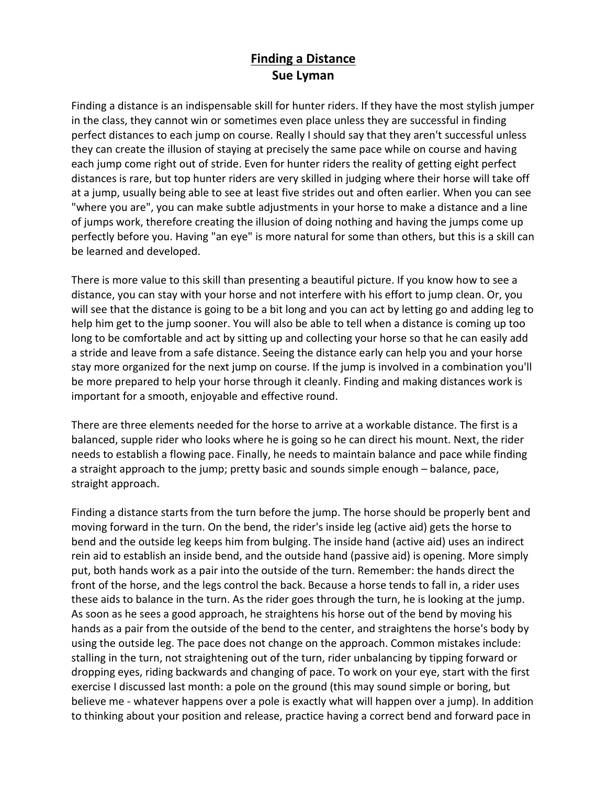## **Finding a Distance Sue Lyman**

Finding a distance is an indispensable skill for hunter riders. If they have the most stylish jumper in the class, they cannot win or sometimes even place unless they are successful in finding perfect distances to each jump on course. Really I should say that they aren't successful unless they can create the illusion of staying at precisely the same pace while on course and having each jump come right out of stride. Even for hunter riders the reality of getting eight perfect distances is rare, but top hunter riders are very skilled in judging where their horse will take off at a jump, usually being able to see at least five strides out and often earlier. When you can see "where you are", you can make subtle adjustments in your horse to make a distance and a line of jumps work, therefore creating the illusion of doing nothing and having the jumps come up perfectly before you. Having "an eye" is more natural for some than others, but this is a skill can be learned and developed.

There is more value to this skill than presenting a beautiful picture. If you know how to see a distance, you can stay with your horse and not interfere with his effort to jump clean. Or, you will see that the distance is going to be a bit long and you can act by letting go and adding leg to help him get to the jump sooner. You will also be able to tell when a distance is coming up too long to be comfortable and act by sitting up and collecting your horse so that he can easily add a stride and leave from a safe distance. Seeing the distance early can help you and your horse stay more organized for the next jump on course. If the jump is involved in a combination you'll be more prepared to help your horse through it cleanly. Finding and making distances work is important for a smooth, enjoyable and effective round.

There are three elements needed for the horse to arrive at a workable distance. The first is a balanced, supple rider who looks where he is going so he can direct his mount. Next, the rider needs to establish a flowing pace. Finally, he needs to maintain balance and pace while finding a straight approach to the jump; pretty basic and sounds simple enough – balance, pace, straight approach.

Finding a distance starts from the turn before the jump. The horse should be properly bent and moving forward in the turn. On the bend, the rider's inside leg (active aid) gets the horse to bend and the outside leg keeps him from bulging. The inside hand (active aid) uses an indirect rein aid to establish an inside bend, and the outside hand (passive aid) is opening. More simply put, both hands work as a pair into the outside of the turn. Remember: the hands direct the front of the horse, and the legs control the back. Because a horse tends to fall in, a rider uses these aids to balance in the turn. As the rider goes through the turn, he is looking at the jump. As soon as he sees a good approach, he straightens his horse out of the bend by moving his hands as a pair from the outside of the bend to the center, and straightens the horse's body by using the outside leg. The pace does not change on the approach. Common mistakes include: stalling in the turn, not straightening out of the turn, rider unbalancing by tipping forward or dropping eyes, riding backwards and changing of pace. To work on your eye, start with the first exercise I discussed last month: a pole on the ground (this may sound simple or boring, but believe me - whatever happens over a pole is exactly what will happen over a jump). In addition to thinking about your position and release, practice having a correct bend and forward pace in